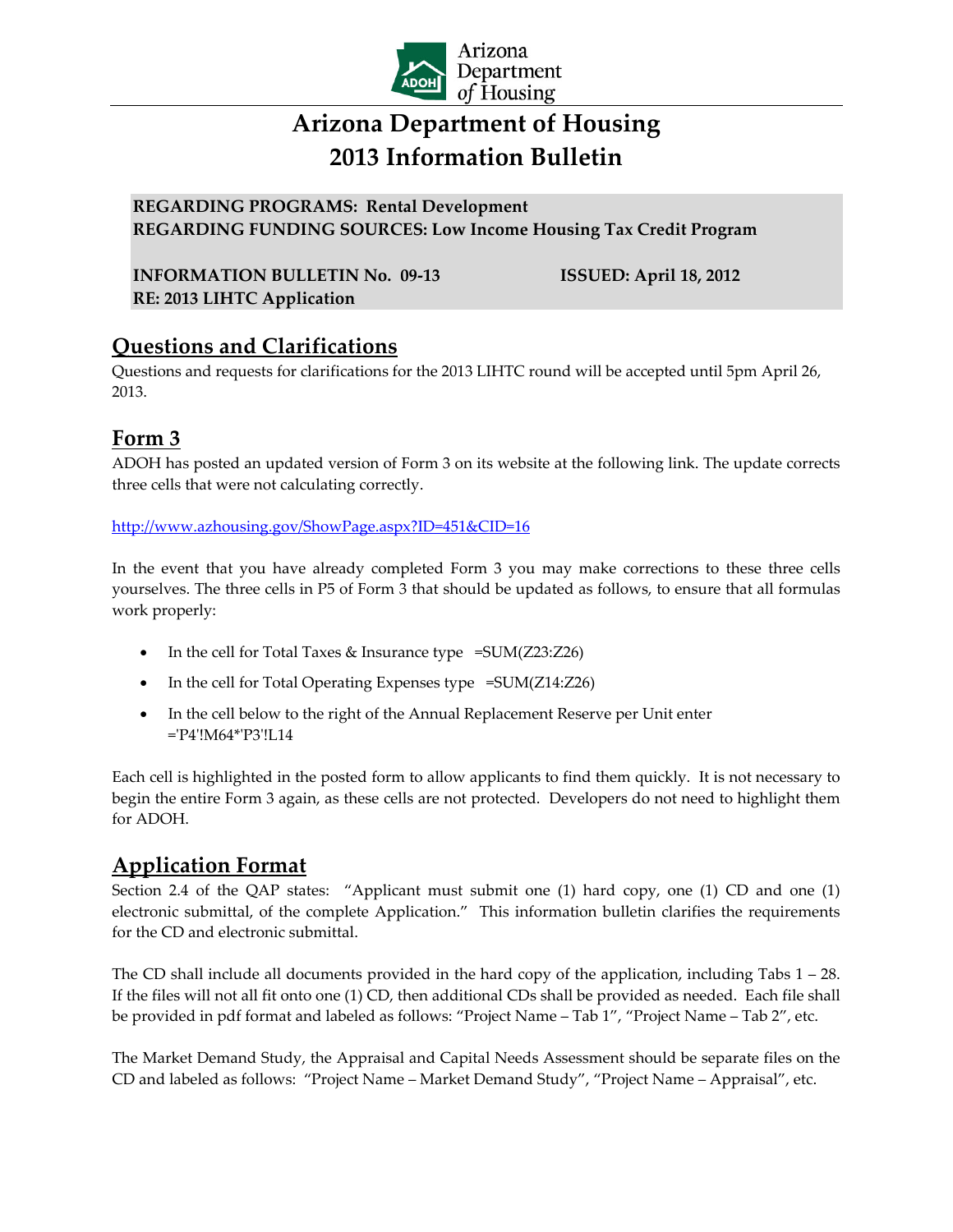

# **Arizona Department of Housing 2013 Information Bulletin**

#### **REGARDING PROGRAMS: Rental Development REGARDING FUNDING SOURCES: Low Income Housing Tax Credit Program**

**INFORMATION BULLETIN No. 09‐13 ISSUED: April 18, 2012 RE: 2013 LIHTC Application** 

# **Questions and Clarifications**

Questions and requests for clarifications for the 2013 LIHTC round will be accepted until 5pm April 26, 2013.

## **Form 3**

ADOH has posted an updated version of Form 3 on its website at the following link. The update corrects three cells that were not calculating correctly.

http://www.azhousing.gov/ShowPage.aspx?ID=451&CID=16

In the event that you have already completed Form 3 you may make corrections to these three cells yourselves. The three cells in P5 of Form 3 that should be updated as follows, to ensure that all formulas work properly:

- In the cell for Total Taxes & Insurance type  $=SUM(Z23:Z26)$
- In the cell for Total Operating Expenses type =SUM(Z14:Z26)
- In the cell below to the right of the Annual Replacement Reserve per Unit enter =ʹP4ʹ!M64\*ʹP3ʹ!L14

Each cell is highlighted in the posted form to allow applicants to find them quickly. It is not necessary to begin the entire Form 3 again, as these cells are not protected. Developers do not need to highlight them for ADOH.

## **Application Format**

Section 2.4 of the QAP states: "Applicant must submit one (1) hard copy, one (1) CD and one (1) electronic submittal, of the complete Application." This information bulletin clarifies the requirements for the CD and electronic submittal.

The CD shall include all documents provided in the hard copy of the application, including Tabs 1 – 28. If the files will not all fit onto one (1) CD, then additional CDs shall be provided as needed. Each file shall be provided in pdf format and labeled as follows: "Project Name – Tab 1", "Project Name – Tab 2", etc.

The Market Demand Study, the Appraisal and Capital Needs Assessment should be separate files on the CD and labeled as follows: "Project Name – Market Demand Study", "Project Name – Appraisal", etc.